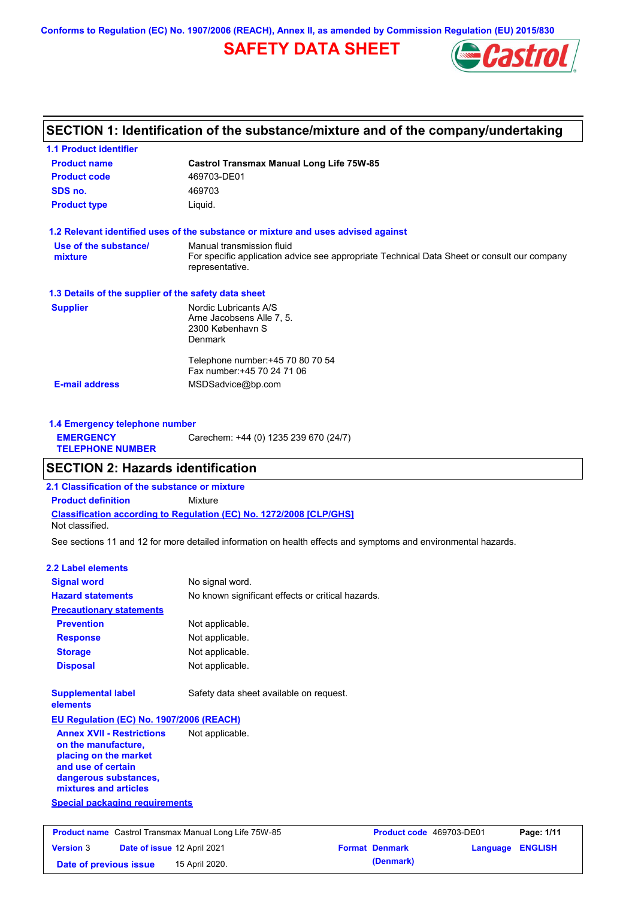**Conforms to Regulation (EC) No. 1907/2006 (REACH), Annex II, as amended by Commission Regulation (EU) 2015/830**

## **SAFETY DATA SHEET**



## **SECTION 1: Identification of the substance/mixture and of the company/undertaking**

| <b>1.1 Product identifier</b>                        |                                                                                                                |
|------------------------------------------------------|----------------------------------------------------------------------------------------------------------------|
| <b>Product name</b>                                  | <b>Castrol Transmax Manual Long Life 75W-85</b>                                                                |
| <b>Product code</b>                                  | 469703-DE01                                                                                                    |
| SDS no.                                              | 469703                                                                                                         |
| <b>Product type</b>                                  | Liquid.                                                                                                        |
|                                                      | 1.2 Relevant identified uses of the substance or mixture and uses advised against                              |
| Use of the substance/                                | Manual transmission fluid                                                                                      |
| mixture                                              | For specific application advice see appropriate Technical Data Sheet or consult our company<br>representative. |
| 1.3 Details of the supplier of the safety data sheet |                                                                                                                |
| <b>Supplier</b>                                      | Nordic Lubricants A/S                                                                                          |
|                                                      | Arne Jacobsens Alle 7, 5.                                                                                      |
|                                                      | 2300 København S<br>Denmark                                                                                    |
|                                                      |                                                                                                                |
|                                                      | Telephone number: +45 70 80 70 54                                                                              |
|                                                      | Fax number: +45 70 24 71 06                                                                                    |
| <b>E-mail address</b>                                | MSDSadvice@bp.com                                                                                              |
| 1.4 Emergency telephone number                       |                                                                                                                |
| <b>EMERGENCY</b>                                     |                                                                                                                |
| <b>TELEPHONE NUMBER</b>                              | Carechem: +44 (0) 1235 239 670 (24/7)                                                                          |

# **SECTION 2: Hazards identification**

**2.1 Classification of the substance or mixture**

**Classification according to Regulation (EC) No. 1272/2008 [CLP/GHS] Product definition** Mixture

Not classified.

See sections 11 and 12 for more detailed information on health effects and symptoms and environmental hazards.

#### **2.2 Label elements**

| <b>Signal word</b>                                                                                                                                       | No signal word.                                   |                 |
|----------------------------------------------------------------------------------------------------------------------------------------------------------|---------------------------------------------------|-----------------|
| <b>Hazard statements</b>                                                                                                                                 | No known significant effects or critical hazards. |                 |
| <b>Precautionary statements</b>                                                                                                                          |                                                   |                 |
| <b>Prevention</b>                                                                                                                                        | Not applicable.                                   |                 |
| <b>Response</b>                                                                                                                                          | Not applicable.                                   |                 |
| <b>Storage</b>                                                                                                                                           | Not applicable.                                   |                 |
| <b>Disposal</b>                                                                                                                                          | Not applicable.                                   |                 |
| <b>Supplemental label</b><br>elements                                                                                                                    | Safety data sheet available on request.           |                 |
| EU Regulation (EC) No. 1907/2006 (REACH)                                                                                                                 |                                                   |                 |
| <b>Annex XVII - Restrictions</b><br>on the manufacture,<br>placing on the market<br>and use of certain<br>dangerous substances,<br>mixtures and articles | Not applicable.                                   |                 |
| <b>Special packaging requirements</b>                                                                                                                    |                                                   |                 |
| <b>Product name</b> Castrol Transmax Manual Long Life 75W-85                                                                                             |                                                   | Product code 46 |

|                        |                             | <b>Product name</b> Castrol Transmax Manual Long Life 75W-85 | <b>Product code</b> 469703-DE01 |                         | Page: 1/11 |
|------------------------|-----------------------------|--------------------------------------------------------------|---------------------------------|-------------------------|------------|
| <b>Version 3</b>       | Date of issue 12 April 2021 |                                                              | <b>Format Denmark</b>           | <b>Language ENGLISH</b> |            |
| Date of previous issue |                             | 15 April 2020.                                               | (Denmark)                       |                         |            |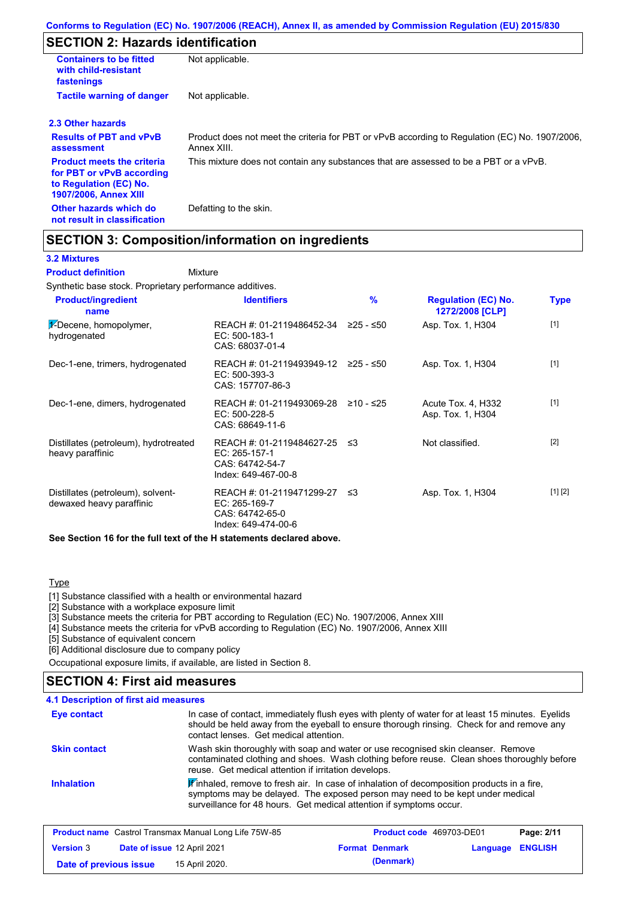## **SECTION 2: Hazards identification**

| <b>Containers to be fitted</b><br>with child-resistant<br>fastenings                                                     | Not applicable.                                                                                               |
|--------------------------------------------------------------------------------------------------------------------------|---------------------------------------------------------------------------------------------------------------|
| <b>Tactile warning of danger</b>                                                                                         | Not applicable.                                                                                               |
| 2.3 Other hazards                                                                                                        |                                                                                                               |
| <b>Results of PBT and vPvB</b><br>assessment                                                                             | Product does not meet the criteria for PBT or vPvB according to Regulation (EC) No. 1907/2006,<br>Annex XIII. |
| <b>Product meets the criteria</b><br>for PBT or vPvB according<br>to Regulation (EC) No.<br><b>1907/2006, Annex XIII</b> | This mixture does not contain any substances that are assessed to be a PBT or a vPvB.                         |
| Other hazards which do<br>not result in classification                                                                   | Defatting to the skin.                                                                                        |

### **SECTION 3: Composition/information on ingredients**

#### **3.2 Mixtures**

Mixture **Product definition**

Synthetic base stock. Proprietary performance additives.

| <b>Product/ingredient</b><br>name                             | <b>Identifiers</b>                                                                      | %         | <b>Regulation (EC) No.</b><br>1272/2008 [CLP] | <b>Type</b> |
|---------------------------------------------------------------|-----------------------------------------------------------------------------------------|-----------|-----------------------------------------------|-------------|
| $\frac{1}{2}$ -Decene, homopolymer,<br>hydrogenated           | REACH #: 01-2119486452-34<br>EC: 500-183-1<br>CAS: 68037-01-4                           | ≥25 - ≤50 | Asp. Tox. 1, H304                             | $[1]$       |
| Dec-1-ene, trimers, hydrogenated                              | REACH #: 01-2119493949-12<br>$EC: 500-393-3$<br>CAS: 157707-86-3                        | 225 - ≤50 | Asp. Tox. 1, H304                             | $[1]$       |
| Dec-1-ene, dimers, hydrogenated                               | REACH #: 01-2119493069-28<br>EC: 500-228-5<br>CAS: 68649-11-6                           | ≥10 - ≤25 | Acute Tox. 4, H332<br>Asp. Tox. 1, H304       | $[1]$       |
| Distillates (petroleum), hydrotreated<br>heavy paraffinic     | REACH #: 01-2119484627-25 ≤3<br>EC: 265-157-1<br>CAS: 64742-54-7<br>Index: 649-467-00-8 |           | Not classified.                               | $[2]$       |
| Distillates (petroleum), solvent-<br>dewaxed heavy paraffinic | REACH #: 01-2119471299-27<br>EC: 265-169-7<br>CAS: 64742-65-0<br>Index: 649-474-00-6    | ב≥        | Asp. Tox. 1, H304                             | [1] [2]     |

**See Section 16 for the full text of the H statements declared above.**

#### **Type**

[1] Substance classified with a health or environmental hazard

[2] Substance with a workplace exposure limit

[3] Substance meets the criteria for PBT according to Regulation (EC) No. 1907/2006, Annex XIII

[4] Substance meets the criteria for vPvB according to Regulation (EC) No. 1907/2006, Annex XIII

[5] Substance of equivalent concern

[6] Additional disclosure due to company policy

Occupational exposure limits, if available, are listed in Section 8.

### **SECTION 4: First aid measures**

#### **4.1 Description of first aid measures**

| Eye contact         | In case of contact, immediately flush eyes with plenty of water for at least 15 minutes. Eyelids<br>should be held away from the eyeball to ensure thorough rinsing. Check for and remove any<br>contact lenses. Get medical attention.           |
|---------------------|---------------------------------------------------------------------------------------------------------------------------------------------------------------------------------------------------------------------------------------------------|
| <b>Skin contact</b> | Wash skin thoroughly with soap and water or use recognised skin cleanser. Remove<br>contaminated clothing and shoes. Wash clothing before reuse. Clean shoes thoroughly before<br>reuse. Get medical attention if irritation develops.            |
| <b>Inhalation</b>   | Winhaled, remove to fresh air. In case of inhalation of decomposition products in a fire,<br>symptoms may be delayed. The exposed person may need to be kept under medical<br>surveillance for 48 hours. Get medical attention if symptoms occur. |

| <b>Product name</b> Castrol Transmax Manual Long Life 75W-85 |  |                                    | <b>Product code</b> 469703-DE01 |                       | Page: 2/11              |  |
|--------------------------------------------------------------|--|------------------------------------|---------------------------------|-----------------------|-------------------------|--|
| <b>Version 3</b>                                             |  | <b>Date of issue 12 April 2021</b> |                                 | <b>Format Denmark</b> | <b>Language ENGLISH</b> |  |
| Date of previous issue                                       |  | 15 April 2020.                     |                                 | (Denmark)             |                         |  |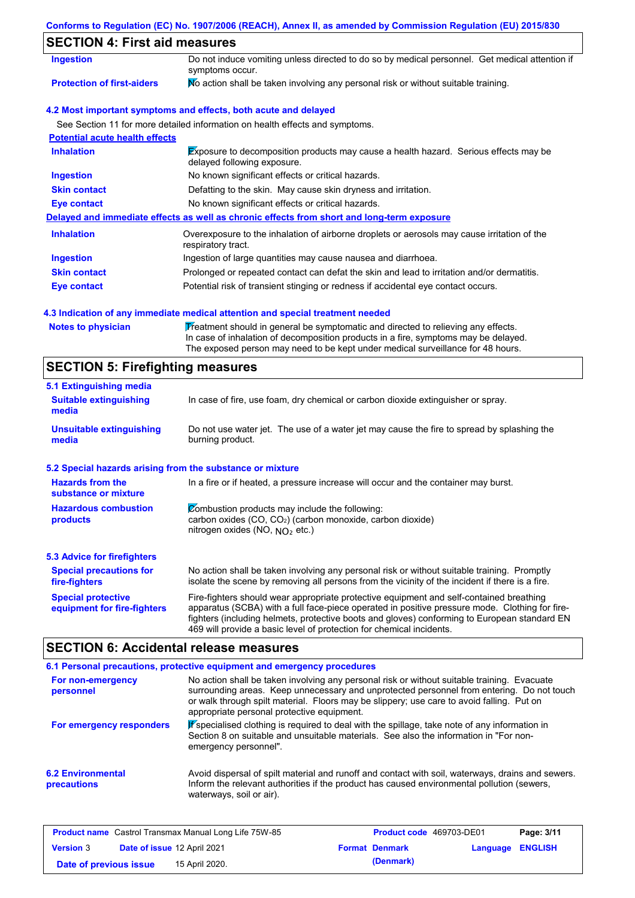#### **Conforms to Regulation (EC) No. 1907/2006 (REACH), Annex II, as amended by Commission Regulation (EU) 2015/830**

## **SECTION 4: First aid measures**

| Ingestion                             | Do not induce vomiting unless directed to do so by medical personnel. Get medical attention if<br>symptoms occur.   |  |  |  |
|---------------------------------------|---------------------------------------------------------------------------------------------------------------------|--|--|--|
| <b>Protection of first-aiders</b>     | No action shall be taken involving any personal risk or without suitable training.                                  |  |  |  |
|                                       | 4.2 Most important symptoms and effects, both acute and delayed                                                     |  |  |  |
|                                       | See Section 11 for more detailed information on health effects and symptoms.                                        |  |  |  |
| <b>Potential acute health effects</b> |                                                                                                                     |  |  |  |
| <b>Inhalation</b>                     | Exposure to decomposition products may cause a health hazard. Serious effects may be<br>delayed following exposure. |  |  |  |
| <b>Ingestion</b>                      | No known significant effects or critical hazards.                                                                   |  |  |  |
| <b>Skin contact</b>                   | Defatting to the skin. May cause skin dryness and irritation.                                                       |  |  |  |
| Eye contact                           | No known significant effects or critical hazards.                                                                   |  |  |  |
|                                       | Delayed and immediate effects as well as chronic effects from short and long-term exposure                          |  |  |  |
| <b>Inhalation</b>                     | Overexposure to the inhalation of airborne droplets or aerosols may cause irritation of the<br>respiratory tract.   |  |  |  |
| <b>Ingestion</b>                      | Ingestion of large quantities may cause nausea and diarrhoea.                                                       |  |  |  |
| <b>Skin contact</b>                   | Prolonged or repeated contact can defat the skin and lead to irritation and/or dermatitis.                          |  |  |  |
| Eye contact                           | Potential risk of transient stinging or redness if accidental eye contact occurs.                                   |  |  |  |

#### **4.3 Indication of any immediate medical attention and special treatment needed**

Notes to physician **Treatment should in general be symptomatic and directed to relieving any effects.** In case of inhalation of decomposition products in a fire, symptoms may be delayed. The exposed person may need to be kept under medical surveillance for 48 hours.

### **SECTION 5: Firefighting measures**

| 5.1 Extinguishing media                                                                                                                                                                                 |                                                                                                                                                                                                                                                                                                                                                                   |  |  |  |
|---------------------------------------------------------------------------------------------------------------------------------------------------------------------------------------------------------|-------------------------------------------------------------------------------------------------------------------------------------------------------------------------------------------------------------------------------------------------------------------------------------------------------------------------------------------------------------------|--|--|--|
| In case of fire, use foam, dry chemical or carbon dioxide extinguisher or spray.<br><b>Suitable extinguishing</b><br>media                                                                              |                                                                                                                                                                                                                                                                                                                                                                   |  |  |  |
| <b>Unsuitable extinguishing</b><br>media                                                                                                                                                                | Do not use water jet. The use of a water jet may cause the fire to spread by splashing the<br>burning product.                                                                                                                                                                                                                                                    |  |  |  |
| 5.2 Special hazards arising from the substance or mixture                                                                                                                                               |                                                                                                                                                                                                                                                                                                                                                                   |  |  |  |
| <b>Hazards from the</b><br>In a fire or if heated, a pressure increase will occur and the container may burst.<br>substance or mixture                                                                  |                                                                                                                                                                                                                                                                                                                                                                   |  |  |  |
| <b>Hazardous combustion</b><br>Combustion products may include the following:<br>carbon oxides (CO, CO <sub>2</sub> ) (carbon monoxide, carbon dioxide)<br>products<br>nitrogen oxides (NO, $NO2$ etc.) |                                                                                                                                                                                                                                                                                                                                                                   |  |  |  |
| 5.3 Advice for firefighters                                                                                                                                                                             |                                                                                                                                                                                                                                                                                                                                                                   |  |  |  |
| <b>Special precautions for</b><br>fire-fighters                                                                                                                                                         | No action shall be taken involving any personal risk or without suitable training. Promptly<br>isolate the scene by removing all persons from the vicinity of the incident if there is a fire.                                                                                                                                                                    |  |  |  |
| <b>Special protective</b><br>equipment for fire-fighters                                                                                                                                                | Fire-fighters should wear appropriate protective equipment and self-contained breathing<br>apparatus (SCBA) with a full face-piece operated in positive pressure mode. Clothing for fire-<br>fighters (including helmets, protective boots and gloves) conforming to European standard EN<br>469 will provide a basic level of protection for chemical incidents. |  |  |  |

## **SECTION 6: Accidental release measures**

|                                         | 6.1 Personal precautions, protective equipment and emergency procedures                                                                                                                                                                                                                                                             |
|-----------------------------------------|-------------------------------------------------------------------------------------------------------------------------------------------------------------------------------------------------------------------------------------------------------------------------------------------------------------------------------------|
| For non-emergency<br>personnel          | No action shall be taken involving any personal risk or without suitable training. Evacuate<br>surrounding areas. Keep unnecessary and unprotected personnel from entering. Do not touch<br>or walk through spilt material. Floors may be slippery; use care to avoid falling. Put on<br>appropriate personal protective equipment. |
| For emergency responders                | Pspecialised clothing is required to deal with the spillage, take note of any information in<br>Section 8 on suitable and unsuitable materials. See also the information in "For non-<br>emergency personnel".                                                                                                                      |
| <b>6.2 Environmental</b><br>precautions | Avoid dispersal of spilt material and runoff and contact with soil, waterways, drains and sewers.<br>Inform the relevant authorities if the product has caused environmental pollution (sewers,<br>waterways, soil or air).                                                                                                         |

|                        |                             | <b>Product name</b> Castrol Transmax Manual Long Life 75W-85 | <b>Product code</b> 469703-DE01 |                         | Page: 3/11 |
|------------------------|-----------------------------|--------------------------------------------------------------|---------------------------------|-------------------------|------------|
| <b>Version 3</b>       | Date of issue 12 April 2021 |                                                              | <b>Format Denmark</b>           | <b>Language ENGLISH</b> |            |
| Date of previous issue |                             | 15 April 2020.                                               | (Denmark)                       |                         |            |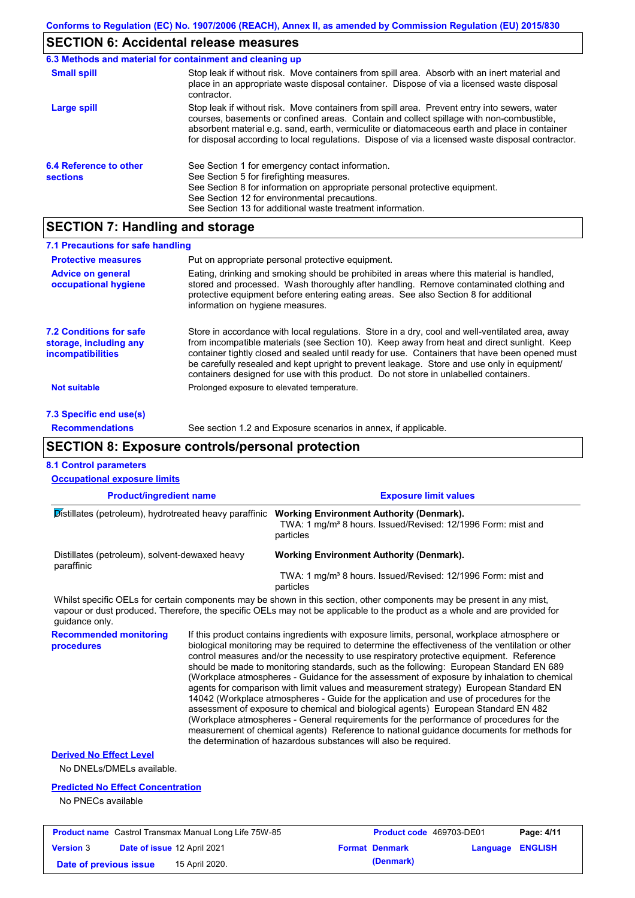# **SECTION 6: Accidental release measures**

|                                           | 6.3 Methods and material for containment and cleaning up                                                                                                                                                                                                                                                                                                                                       |
|-------------------------------------------|------------------------------------------------------------------------------------------------------------------------------------------------------------------------------------------------------------------------------------------------------------------------------------------------------------------------------------------------------------------------------------------------|
| <b>Small spill</b>                        | Stop leak if without risk. Move containers from spill area. Absorb with an inert material and<br>place in an appropriate waste disposal container. Dispose of via a licensed waste disposal<br>contractor.                                                                                                                                                                                     |
| <b>Large spill</b>                        | Stop leak if without risk. Move containers from spill area. Prevent entry into sewers, water<br>courses, basements or confined areas. Contain and collect spillage with non-combustible,<br>absorbent material e.g. sand, earth, vermiculite or diatomaceous earth and place in container<br>for disposal according to local regulations. Dispose of via a licensed waste disposal contractor. |
| 6.4 Reference to other<br><b>sections</b> | See Section 1 for emergency contact information.<br>See Section 5 for firefighting measures.<br>See Section 8 for information on appropriate personal protective equipment.<br>See Section 12 for environmental precautions.<br>See Section 13 for additional waste treatment information.                                                                                                     |

### **SECTION 7: Handling and storage**

| 7.1 Precautions for safe handling                                                    |                                                                                                                                                                                                                                                                                                                                                                                                                                                                                          |
|--------------------------------------------------------------------------------------|------------------------------------------------------------------------------------------------------------------------------------------------------------------------------------------------------------------------------------------------------------------------------------------------------------------------------------------------------------------------------------------------------------------------------------------------------------------------------------------|
| <b>Protective measures</b>                                                           | Put on appropriate personal protective equipment.                                                                                                                                                                                                                                                                                                                                                                                                                                        |
| <b>Advice on general</b><br>occupational hygiene                                     | Eating, drinking and smoking should be prohibited in areas where this material is handled.<br>stored and processed. Wash thoroughly after handling. Remove contaminated clothing and<br>protective equipment before entering eating areas. See also Section 8 for additional<br>information on hygiene measures.                                                                                                                                                                         |
| <b>7.2 Conditions for safe</b><br>storage, including any<br><i>incompatibilities</i> | Store in accordance with local requlations. Store in a dry, cool and well-ventilated area, away<br>from incompatible materials (see Section 10). Keep away from heat and direct sunlight. Keep<br>container tightly closed and sealed until ready for use. Containers that have been opened must<br>be carefully resealed and kept upright to prevent leakage. Store and use only in equipment/<br>containers designed for use with this product. Do not store in unlabelled containers. |
| <b>Not suitable</b>                                                                  | Prolonged exposure to elevated temperature.                                                                                                                                                                                                                                                                                                                                                                                                                                              |
| 7.3 Specific end use(s)                                                              |                                                                                                                                                                                                                                                                                                                                                                                                                                                                                          |
| <b>Recommendations</b>                                                               | See section 1.2 and Exposure scenarios in annex, if applicable.                                                                                                                                                                                                                                                                                                                                                                                                                          |

| nendations | See section 1.2 and Exposure scenarios in annex, if applicable. |
|------------|-----------------------------------------------------------------|
|            |                                                                 |

## **SECTION 8: Exposure controls/personal protection**

| <b>8.1 Control parameters</b>                                                                                                                                                                                                                                          |                |                                                                                                                                                                                                                                                                                                                                                                                                                                                                                                                                                                                                                                                                                                                                                                                                                                                                                                                                                                                                                            |                              |          |                |
|------------------------------------------------------------------------------------------------------------------------------------------------------------------------------------------------------------------------------------------------------------------------|----------------|----------------------------------------------------------------------------------------------------------------------------------------------------------------------------------------------------------------------------------------------------------------------------------------------------------------------------------------------------------------------------------------------------------------------------------------------------------------------------------------------------------------------------------------------------------------------------------------------------------------------------------------------------------------------------------------------------------------------------------------------------------------------------------------------------------------------------------------------------------------------------------------------------------------------------------------------------------------------------------------------------------------------------|------------------------------|----------|----------------|
| <b>Occupational exposure limits</b>                                                                                                                                                                                                                                    |                |                                                                                                                                                                                                                                                                                                                                                                                                                                                                                                                                                                                                                                                                                                                                                                                                                                                                                                                                                                                                                            |                              |          |                |
| <b>Product/ingredient name</b>                                                                                                                                                                                                                                         |                |                                                                                                                                                                                                                                                                                                                                                                                                                                                                                                                                                                                                                                                                                                                                                                                                                                                                                                                                                                                                                            | <b>Exposure limit values</b> |          |                |
| Distillates (petroleum), hydrotreated heavy paraffinic Working Environment Authority (Denmark).                                                                                                                                                                        |                | TWA: 1 mg/m <sup>3</sup> 8 hours. Issued/Revised: 12/1996 Form: mist and<br>particles                                                                                                                                                                                                                                                                                                                                                                                                                                                                                                                                                                                                                                                                                                                                                                                                                                                                                                                                      |                              |          |                |
| Distillates (petroleum), solvent-dewaxed heavy<br>paraffinic                                                                                                                                                                                                           |                | <b>Working Environment Authority (Denmark).</b>                                                                                                                                                                                                                                                                                                                                                                                                                                                                                                                                                                                                                                                                                                                                                                                                                                                                                                                                                                            |                              |          |                |
|                                                                                                                                                                                                                                                                        |                | TWA: 1 mg/m <sup>3</sup> 8 hours. Issued/Revised: 12/1996 Form: mist and<br>particles                                                                                                                                                                                                                                                                                                                                                                                                                                                                                                                                                                                                                                                                                                                                                                                                                                                                                                                                      |                              |          |                |
| Whilst specific OELs for certain components may be shown in this section, other components may be present in any mist,<br>vapour or dust produced. Therefore, the specific OELs may not be applicable to the product as a whole and are provided for<br>guidance only. |                |                                                                                                                                                                                                                                                                                                                                                                                                                                                                                                                                                                                                                                                                                                                                                                                                                                                                                                                                                                                                                            |                              |          |                |
| <b>Recommended monitoring</b><br>procedures                                                                                                                                                                                                                            |                | If this product contains ingredients with exposure limits, personal, workplace atmosphere or<br>biological monitoring may be required to determine the effectiveness of the ventilation or other<br>control measures and/or the necessity to use respiratory protective equipment. Reference<br>should be made to monitoring standards, such as the following: European Standard EN 689<br>(Workplace atmospheres - Guidance for the assessment of exposure by inhalation to chemical<br>agents for comparison with limit values and measurement strategy) European Standard EN<br>14042 (Workplace atmospheres - Guide for the application and use of procedures for the<br>assessment of exposure to chemical and biological agents) European Standard EN 482<br>(Workplace atmospheres - General requirements for the performance of procedures for the<br>measurement of chemical agents) Reference to national guidance documents for methods for<br>the determination of hazardous substances will also be required. |                              |          |                |
| <b>Derived No Effect Level</b>                                                                                                                                                                                                                                         |                |                                                                                                                                                                                                                                                                                                                                                                                                                                                                                                                                                                                                                                                                                                                                                                                                                                                                                                                                                                                                                            |                              |          |                |
| No DNELs/DMELs available.                                                                                                                                                                                                                                              |                |                                                                                                                                                                                                                                                                                                                                                                                                                                                                                                                                                                                                                                                                                                                                                                                                                                                                                                                                                                                                                            |                              |          |                |
| <b>Predicted No Effect Concentration</b>                                                                                                                                                                                                                               |                |                                                                                                                                                                                                                                                                                                                                                                                                                                                                                                                                                                                                                                                                                                                                                                                                                                                                                                                                                                                                                            |                              |          |                |
| No PNECs available                                                                                                                                                                                                                                                     |                |                                                                                                                                                                                                                                                                                                                                                                                                                                                                                                                                                                                                                                                                                                                                                                                                                                                                                                                                                                                                                            |                              |          |                |
| <b>Product name</b> Castrol Transmax Manual Long Life 75W-85                                                                                                                                                                                                           |                |                                                                                                                                                                                                                                                                                                                                                                                                                                                                                                                                                                                                                                                                                                                                                                                                                                                                                                                                                                                                                            | Product code 469703-DE01     |          | Page: 4/11     |
| <b>Version 3</b><br>Date of issue 12 April 2021                                                                                                                                                                                                                        |                |                                                                                                                                                                                                                                                                                                                                                                                                                                                                                                                                                                                                                                                                                                                                                                                                                                                                                                                                                                                                                            | <b>Format Denmark</b>        | Language | <b>ENGLISH</b> |
| Date of previous issue                                                                                                                                                                                                                                                 | 15 April 2020. |                                                                                                                                                                                                                                                                                                                                                                                                                                                                                                                                                                                                                                                                                                                                                                                                                                                                                                                                                                                                                            | (Denmark)                    |          |                |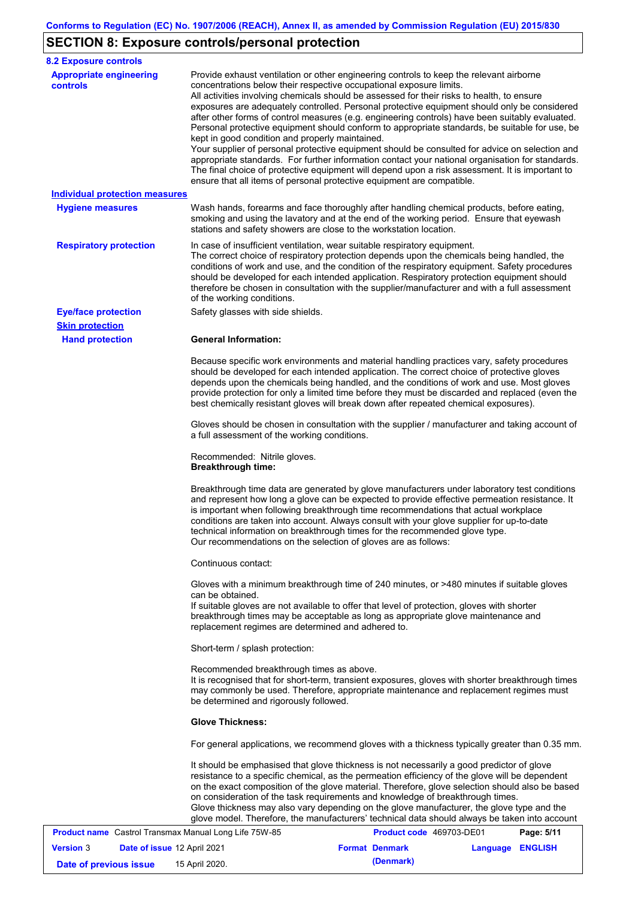# **SECTION 8: Exposure controls/personal protection**

| <b>8.2 Exposure controls</b>                          |                                                                                                                        |                                                                                                                                                                                                                                                                                                                                                                                                                                                                                                                                                                                                                                                                                                                                                                                                                                                                               |            |
|-------------------------------------------------------|------------------------------------------------------------------------------------------------------------------------|-------------------------------------------------------------------------------------------------------------------------------------------------------------------------------------------------------------------------------------------------------------------------------------------------------------------------------------------------------------------------------------------------------------------------------------------------------------------------------------------------------------------------------------------------------------------------------------------------------------------------------------------------------------------------------------------------------------------------------------------------------------------------------------------------------------------------------------------------------------------------------|------------|
| <b>Appropriate engineering</b><br><b>controls</b>     | concentrations below their respective occupational exposure limits.<br>kept in good condition and properly maintained. | Provide exhaust ventilation or other engineering controls to keep the relevant airborne<br>All activities involving chemicals should be assessed for their risks to health, to ensure<br>exposures are adequately controlled. Personal protective equipment should only be considered<br>after other forms of control measures (e.g. engineering controls) have been suitably evaluated.<br>Personal protective equipment should conform to appropriate standards, be suitable for use, be<br>Your supplier of personal protective equipment should be consulted for advice on selection and<br>appropriate standards. For further information contact your national organisation for standards.<br>The final choice of protective equipment will depend upon a risk assessment. It is important to<br>ensure that all items of personal protective equipment are compatible. |            |
| <b>Individual protection measures</b>                 |                                                                                                                        |                                                                                                                                                                                                                                                                                                                                                                                                                                                                                                                                                                                                                                                                                                                                                                                                                                                                               |            |
| <b>Hygiene measures</b>                               | stations and safety showers are close to the workstation location.                                                     | Wash hands, forearms and face thoroughly after handling chemical products, before eating,<br>smoking and using the lavatory and at the end of the working period. Ensure that eyewash                                                                                                                                                                                                                                                                                                                                                                                                                                                                                                                                                                                                                                                                                         |            |
| <b>Respiratory protection</b>                         | of the working conditions.                                                                                             | In case of insufficient ventilation, wear suitable respiratory equipment.<br>The correct choice of respiratory protection depends upon the chemicals being handled, the<br>conditions of work and use, and the condition of the respiratory equipment. Safety procedures<br>should be developed for each intended application. Respiratory protection equipment should<br>therefore be chosen in consultation with the supplier/manufacturer and with a full assessment                                                                                                                                                                                                                                                                                                                                                                                                       |            |
| <b>Eye/face protection</b>                            | Safety glasses with side shields.                                                                                      |                                                                                                                                                                                                                                                                                                                                                                                                                                                                                                                                                                                                                                                                                                                                                                                                                                                                               |            |
| <b>Skin protection</b>                                | <b>General Information:</b>                                                                                            |                                                                                                                                                                                                                                                                                                                                                                                                                                                                                                                                                                                                                                                                                                                                                                                                                                                                               |            |
| <b>Hand protection</b>                                |                                                                                                                        | Because specific work environments and material handling practices vary, safety procedures<br>should be developed for each intended application. The correct choice of protective gloves<br>depends upon the chemicals being handled, and the conditions of work and use. Most gloves<br>provide protection for only a limited time before they must be discarded and replaced (even the<br>best chemically resistant gloves will break down after repeated chemical exposures).                                                                                                                                                                                                                                                                                                                                                                                              |            |
|                                                       | a full assessment of the working conditions.                                                                           | Gloves should be chosen in consultation with the supplier / manufacturer and taking account of                                                                                                                                                                                                                                                                                                                                                                                                                                                                                                                                                                                                                                                                                                                                                                                |            |
|                                                       | Recommended: Nitrile gloves.<br><b>Breakthrough time:</b>                                                              |                                                                                                                                                                                                                                                                                                                                                                                                                                                                                                                                                                                                                                                                                                                                                                                                                                                                               |            |
|                                                       | Our recommendations on the selection of gloves are as follows:                                                         | Breakthrough time data are generated by glove manufacturers under laboratory test conditions<br>and represent how long a glove can be expected to provide effective permeation resistance. It<br>is important when following breakthrough time recommendations that actual workplace<br>conditions are taken into account. Always consult with your glove supplier for up-to-date<br>technical information on breakthrough times for the recommended glove type.                                                                                                                                                                                                                                                                                                                                                                                                              |            |
|                                                       | Continuous contact:                                                                                                    |                                                                                                                                                                                                                                                                                                                                                                                                                                                                                                                                                                                                                                                                                                                                                                                                                                                                               |            |
|                                                       |                                                                                                                        |                                                                                                                                                                                                                                                                                                                                                                                                                                                                                                                                                                                                                                                                                                                                                                                                                                                                               |            |
|                                                       | can be obtained.<br>replacement regimes are determined and adhered to.                                                 | Gloves with a minimum breakthrough time of 240 minutes, or >480 minutes if suitable gloves<br>If suitable gloves are not available to offer that level of protection, gloves with shorter<br>breakthrough times may be acceptable as long as appropriate glove maintenance and                                                                                                                                                                                                                                                                                                                                                                                                                                                                                                                                                                                                |            |
|                                                       | Short-term / splash protection:                                                                                        |                                                                                                                                                                                                                                                                                                                                                                                                                                                                                                                                                                                                                                                                                                                                                                                                                                                                               |            |
|                                                       | Recommended breakthrough times as above.<br>be determined and rigorously followed.                                     | It is recognised that for short-term, transient exposures, gloves with shorter breakthrough times<br>may commonly be used. Therefore, appropriate maintenance and replacement regimes must                                                                                                                                                                                                                                                                                                                                                                                                                                                                                                                                                                                                                                                                                    |            |
|                                                       | <b>Glove Thickness:</b>                                                                                                |                                                                                                                                                                                                                                                                                                                                                                                                                                                                                                                                                                                                                                                                                                                                                                                                                                                                               |            |
|                                                       |                                                                                                                        | For general applications, we recommend gloves with a thickness typically greater than 0.35 mm.                                                                                                                                                                                                                                                                                                                                                                                                                                                                                                                                                                                                                                                                                                                                                                                |            |
|                                                       |                                                                                                                        | It should be emphasised that glove thickness is not necessarily a good predictor of glove<br>resistance to a specific chemical, as the permeation efficiency of the glove will be dependent<br>on the exact composition of the glove material. Therefore, glove selection should also be based<br>on consideration of the task requirements and knowledge of breakthrough times.<br>Glove thickness may also vary depending on the glove manufacturer, the glove type and the<br>glove model. Therefore, the manufacturers' technical data should always be taken into account                                                                                                                                                                                                                                                                                                |            |
| Product name Castrol Transmax Manual Long Life 75W-85 |                                                                                                                        | Product code 469703-DE01                                                                                                                                                                                                                                                                                                                                                                                                                                                                                                                                                                                                                                                                                                                                                                                                                                                      | Page: 5/11 |

| <b>Product name</b> Castrol Transmax Manual Long Life 75W-85 |                                    |                | <b>Product code</b> 469703-DE01 | Page: 5/11            |                  |  |
|--------------------------------------------------------------|------------------------------------|----------------|---------------------------------|-----------------------|------------------|--|
| <b>Version 3</b>                                             | <b>Date of issue 12 April 2021</b> |                |                                 | <b>Format Denmark</b> | Language ENGLISH |  |
| Date of previous issue                                       |                                    | 15 April 2020. |                                 | (Denmark)             |                  |  |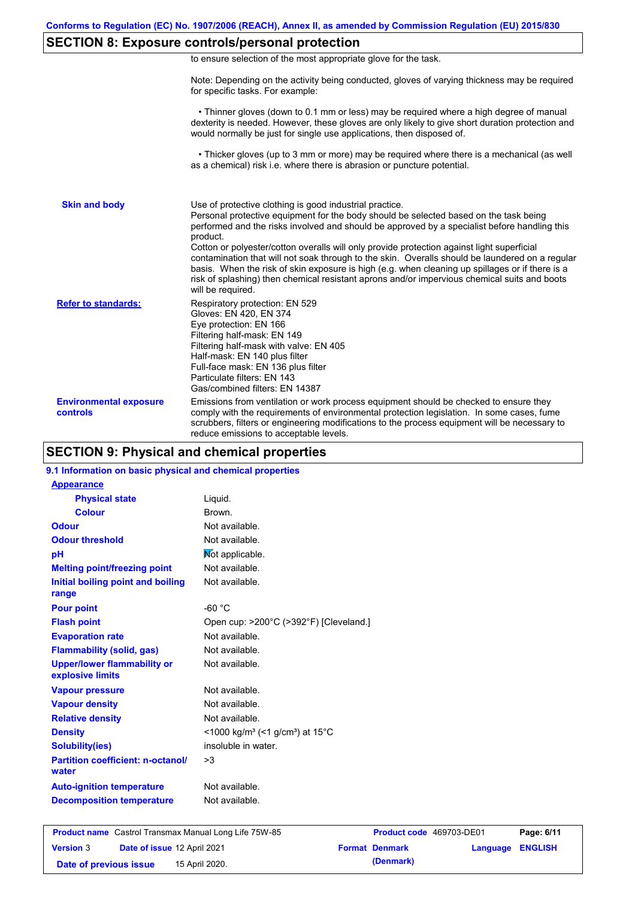### **SECTION 8: Exposure controls/personal protection**

|  | to ensure selection of the most appropriate glove for the task. |  |  |  |  |
|--|-----------------------------------------------------------------|--|--|--|--|
|  |                                                                 |  |  |  |  |

Note: Depending on the activity being conducted, gloves of varying thickness may be required for specific tasks. For example:

 • Thinner gloves (down to 0.1 mm or less) may be required where a high degree of manual dexterity is needed. However, these gloves are only likely to give short duration protection and would normally be just for single use applications, then disposed of.

 • Thicker gloves (up to 3 mm or more) may be required where there is a mechanical (as well as a chemical) risk i.e. where there is abrasion or puncture potential.

| <b>Skin and body</b>                      | Use of protective clothing is good industrial practice.<br>Personal protective equipment for the body should be selected based on the task being<br>performed and the risks involved and should be approved by a specialist before handling this<br>product.<br>Cotton or polyester/cotton overalls will only provide protection against light superficial<br>contamination that will not soak through to the skin. Overalls should be laundered on a regular<br>basis. When the risk of skin exposure is high (e.g. when cleaning up spillages or if there is a<br>risk of splashing) then chemical resistant aprons and/or impervious chemical suits and boots<br>will be required. |
|-------------------------------------------|---------------------------------------------------------------------------------------------------------------------------------------------------------------------------------------------------------------------------------------------------------------------------------------------------------------------------------------------------------------------------------------------------------------------------------------------------------------------------------------------------------------------------------------------------------------------------------------------------------------------------------------------------------------------------------------|
| <b>Refer to standards:</b>                | Respiratory protection: EN 529<br>Gloves: EN 420, EN 374<br>Eye protection: EN 166<br>Filtering half-mask: EN 149<br>Filtering half-mask with valve: EN 405<br>Half-mask: EN 140 plus filter<br>Full-face mask: EN 136 plus filter<br>Particulate filters: EN 143<br>Gas/combined filters: EN 14387                                                                                                                                                                                                                                                                                                                                                                                   |
| <b>Environmental exposure</b><br>controls | Emissions from ventilation or work process equipment should be checked to ensure they<br>comply with the requirements of environmental protection legislation. In some cases, fume<br>scrubbers, filters or engineering modifications to the process equipment will be necessary to<br>reduce emissions to acceptable levels.                                                                                                                                                                                                                                                                                                                                                         |

### **SECTION 9: Physical and chemical properties**

#### **9.1 Information on basic physical and chemical properties**

| Liquid.                                                                    |
|----------------------------------------------------------------------------|
| Brown.                                                                     |
| Not available.                                                             |
| Not available.                                                             |
| Mot applicable.                                                            |
| Not available.                                                             |
| Not available.                                                             |
|                                                                            |
| $-60 °C$                                                                   |
| Open cup: >200°C (>392°F) [Cleveland.]                                     |
| Not available.                                                             |
| Not available.                                                             |
| Not available.                                                             |
| Not available.                                                             |
| Not available.                                                             |
| Not available.                                                             |
| $\leq$ 1000 kg/m <sup>3</sup> (<1 g/cm <sup>3</sup> ) at 15 <sup>°</sup> C |
| insoluble in water.                                                        |
| >3                                                                         |
| Not available.                                                             |
| Not available.                                                             |
|                                                                            |

| <b>Product name</b> Castrol Transmax Manual Long Life 75W-85 |                                    |                | <b>Product code</b> 469703-DE01 |                       | Page: 6/11              |  |
|--------------------------------------------------------------|------------------------------------|----------------|---------------------------------|-----------------------|-------------------------|--|
| <b>Version 3</b>                                             | <b>Date of issue 12 April 2021</b> |                |                                 | <b>Format Denmark</b> | <b>Language ENGLISH</b> |  |
| Date of previous issue                                       |                                    | 15 April 2020. |                                 | (Denmark)             |                         |  |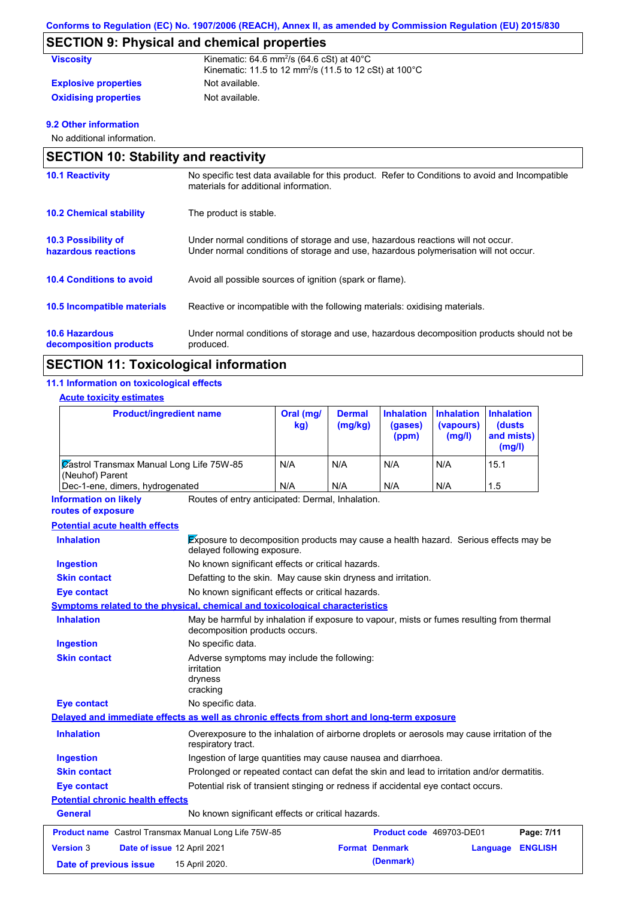## **SECTION 9: Physical and chemical properties**

| <b>Viscosity</b>            | Kinematic: $64.6$ mm <sup>2</sup> /s $(64.6$ cSt) at $40^{\circ}$ C           |
|-----------------------------|-------------------------------------------------------------------------------|
|                             | Kinematic: 11.5 to 12 mm <sup>2</sup> /s (11.5 to 12 cSt) at 100 $^{\circ}$ C |
| <b>Explosive properties</b> | Not available.                                                                |
| <b>Oxidising properties</b> | Not available.                                                                |

### **9.2 Other information**

No additional information.

|                                                   | <b>SECTION 10: Stability and reactivity</b>                                                                                                                             |  |  |  |  |
|---------------------------------------------------|-------------------------------------------------------------------------------------------------------------------------------------------------------------------------|--|--|--|--|
| <b>10.1 Reactivity</b>                            | No specific test data available for this product. Refer to Conditions to avoid and Incompatible<br>materials for additional information.                                |  |  |  |  |
| <b>10.2 Chemical stability</b>                    | The product is stable.                                                                                                                                                  |  |  |  |  |
| <b>10.3 Possibility of</b><br>hazardous reactions | Under normal conditions of storage and use, hazardous reactions will not occur.<br>Under normal conditions of storage and use, hazardous polymerisation will not occur. |  |  |  |  |
| <b>10.4 Conditions to avoid</b>                   | Avoid all possible sources of ignition (spark or flame).                                                                                                                |  |  |  |  |
| <b>10.5 Incompatible materials</b>                | Reactive or incompatible with the following materials: oxidising materials.                                                                                             |  |  |  |  |
| <b>10.6 Hazardous</b><br>decomposition products   | Under normal conditions of storage and use, hazardous decomposition products should not be<br>produced.                                                                 |  |  |  |  |

## **SECTION 11: Toxicological information**

#### **11.1 Information on toxicological effects**

#### **Acute toxicity estimates**

| <b>Product/ingredient name</b>                              | Oral (mg/<br>kg) | <b>Dermal</b><br>(mg/kg) | <b>Inhalation</b><br>(gases)<br>(ppm) | <b>Inhalation</b><br>(vapours)<br>(mg/l) | <b>Inhalation</b><br>(dusts)<br>and mists)<br>(mg/l) |
|-------------------------------------------------------------|------------------|--------------------------|---------------------------------------|------------------------------------------|------------------------------------------------------|
| Zastrol Transmax Manual Long Life 75W-85<br>(Neuhof) Parent | N/A              | N/A                      | N/A                                   | N/A                                      | 15.1                                                 |
| Dec-1-ene, dimers, hydrogenated                             | N/A              | N/A                      | N/A                                   | N/A                                      | 1.5                                                  |

Routes of entry anticipated: Dermal, Inhalation. **Information on likely** 

#### **routes of exposure**

#### **Potential acute health effects**

| <b>Version 3</b><br>Date of previous issue | Date of issue 12 April 2021 | 15 April 2020.                                                                                                              | <b>Format Denmark</b><br>(Denmark) | Language | <b>ENGLISH</b> |
|--------------------------------------------|-----------------------------|-----------------------------------------------------------------------------------------------------------------------------|------------------------------------|----------|----------------|
|                                            |                             | <b>Product name</b> Castrol Transmax Manual Long Life 75W-85                                                                | Product code 469703-DE01           |          | Page: 7/11     |
| General                                    |                             | No known significant effects or critical hazards.                                                                           |                                    |          |                |
| <b>Potential chronic health effects</b>    |                             |                                                                                                                             |                                    |          |                |
| <b>Eye contact</b>                         |                             | Potential risk of transient stinging or redness if accidental eye contact occurs.                                           |                                    |          |                |
| <b>Skin contact</b>                        |                             | Prolonged or repeated contact can defat the skin and lead to irritation and/or dermatitis.                                  |                                    |          |                |
| <b>Ingestion</b>                           |                             | Ingestion of large quantities may cause nausea and diarrhoea.                                                               |                                    |          |                |
| <b>Inhalation</b>                          |                             | Overexposure to the inhalation of airborne droplets or aerosols may cause irritation of the<br>respiratory tract.           |                                    |          |                |
|                                            |                             | Delayed and immediate effects as well as chronic effects from short and long-term exposure                                  |                                    |          |                |
| <b>Eye contact</b>                         |                             | No specific data.                                                                                                           |                                    |          |                |
|                                            |                             | cracking                                                                                                                    |                                    |          |                |
|                                            |                             | irritation<br>dryness                                                                                                       |                                    |          |                |
| <b>Skin contact</b>                        |                             | Adverse symptoms may include the following:                                                                                 |                                    |          |                |
| <b>Ingestion</b>                           |                             | No specific data.                                                                                                           |                                    |          |                |
| <b>Inhalation</b>                          |                             | May be harmful by inhalation if exposure to vapour, mists or fumes resulting from thermal<br>decomposition products occurs. |                                    |          |                |
|                                            |                             | Symptoms related to the physical, chemical and toxicological characteristics                                                |                                    |          |                |
| <b>Eye contact</b>                         |                             | No known significant effects or critical hazards.                                                                           |                                    |          |                |
| <b>Skin contact</b>                        |                             | Defatting to the skin. May cause skin dryness and irritation.                                                               |                                    |          |                |
| <b>Ingestion</b>                           |                             | No known significant effects or critical hazards.                                                                           |                                    |          |                |
| <b>Inhalation</b>                          |                             | <b>Exposure to decomposition products may cause a health hazard.</b> Serious effects may be<br>delayed following exposure.  |                                    |          |                |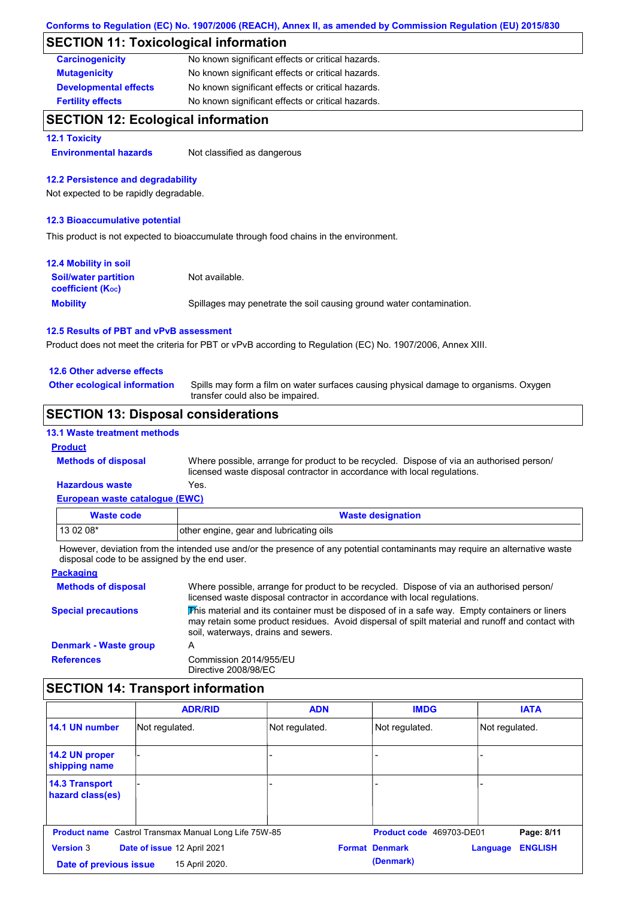### **SECTION 11: Toxicological information**

| <b>Carcinogenicity</b>       | No known significant effects or critical hazards. |
|------------------------------|---------------------------------------------------|
| <b>Mutagenicity</b>          | No known significant effects or critical hazards. |
| <b>Developmental effects</b> | No known significant effects or critical hazards. |
| <b>Fertility effects</b>     | No known significant effects or critical hazards. |

### **SECTION 12: Ecological information**

#### **12.1 Toxicity**

**Environmental hazards** Not classified as dangerous

#### **12.2 Persistence and degradability**

Not expected to be rapidly degradable.

#### **12.3 Bioaccumulative potential**

This product is not expected to bioaccumulate through food chains in the environment.

| <b>12.4 Mobility in soil</b>                            |                                                                      |
|---------------------------------------------------------|----------------------------------------------------------------------|
| <b>Soil/water partition</b><br><b>coefficient (Koc)</b> | Not available.                                                       |
| <b>Mobility</b>                                         | Spillages may penetrate the soil causing ground water contamination. |

#### **12.5 Results of PBT and vPvB assessment**

Product does not meet the criteria for PBT or vPvB according to Regulation (EC) No. 1907/2006, Annex XIII.

#### **12.6 Other adverse effects**

**Other ecological information**

Spills may form a film on water surfaces causing physical damage to organisms. Oxygen transfer could also be impaired.

### **SECTION 13: Disposal considerations**

#### **13.1 Waste treatment methods**

#### **Product**

**Methods of disposal**

Where possible, arrange for product to be recycled. Dispose of via an authorised person/ licensed waste disposal contractor in accordance with local regulations.

#### **European waste catalogue (EWC) Hazardous waste** Yes.

| <u>European waste catalogue (ETTO)</u> |                                         |
|----------------------------------------|-----------------------------------------|
| Waste code                             | <b>Waste designation</b>                |
| $130208*$                              | other engine, gear and lubricating oils |

However, deviation from the intended use and/or the presence of any potential contaminants may require an alternative waste disposal code to be assigned by the end user.

| <b>Packaging</b>             |                                                                                                                                                                                                                                         |
|------------------------------|-----------------------------------------------------------------------------------------------------------------------------------------------------------------------------------------------------------------------------------------|
| <b>Methods of disposal</b>   | Where possible, arrange for product to be recycled. Dispose of via an authorised person/<br>licensed waste disposal contractor in accordance with local regulations.                                                                    |
| <b>Special precautions</b>   | This material and its container must be disposed of in a safe way. Empty containers or liners<br>may retain some product residues. Avoid dispersal of spilt material and runoff and contact with<br>soil, waterways, drains and sewers. |
| <b>Denmark - Waste group</b> | А                                                                                                                                                                                                                                       |
| <b>References</b>            | Commission 2014/955/EU<br>Directive 2008/98/EC                                                                                                                                                                                          |

### **SECTION 14: Transport information**

|                                            | <b>ADR/RID</b>                                               | <b>ADN</b>     | <b>IMDG</b>                        | <b>IATA</b>                |
|--------------------------------------------|--------------------------------------------------------------|----------------|------------------------------------|----------------------------|
| 14.1 UN number                             | Not regulated.                                               | Not regulated. | Not regulated.                     | Not regulated.             |
| 14.2 UN proper<br>shipping name            |                                                              |                |                                    |                            |
| <b>14.3 Transport</b><br>hazard class(es)  |                                                              | ۰              |                                    |                            |
|                                            | <b>Product name</b> Castrol Transmax Manual Long Life 75W-85 |                | Product code 469703-DE01           | Page: 8/11                 |
| <b>Version 3</b><br>Date of previous issue | Date of issue 12 April 2021<br>15 April 2020.                |                | <b>Format Denmark</b><br>(Denmark) | <b>ENGLISH</b><br>Language |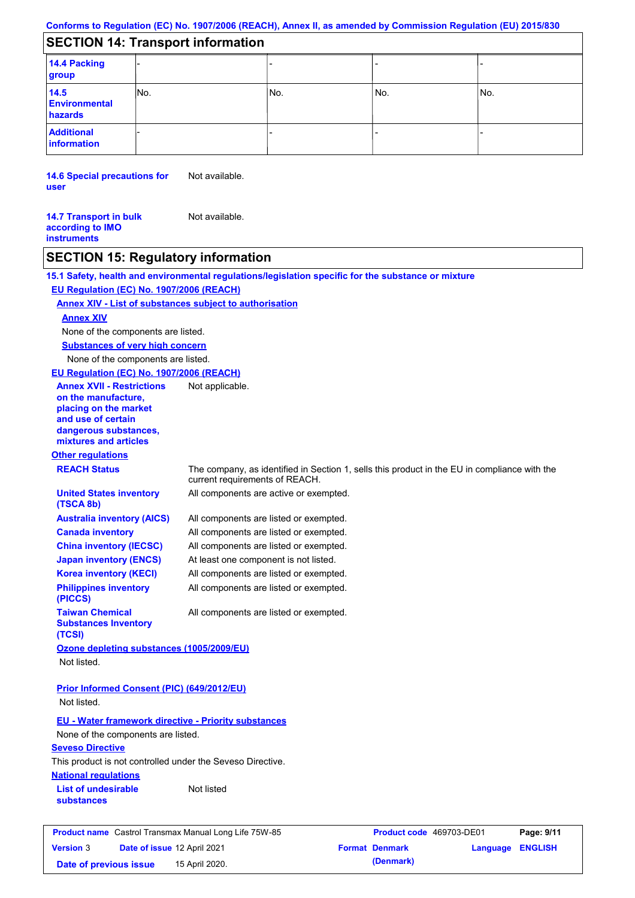## **SECTION 14: Transport information**

| 14.4 Packing<br>group                   |     |     |       |      |
|-----------------------------------------|-----|-----|-------|------|
| 14.5<br><b>Environmental</b><br>hazards | No. | No. | l No. | INo. |
| <b>Additional</b><br>information        |     |     |       |      |

**14.6 Special precautions for user** Not available.

#### **14.7 Transport in bulk according to IMO instruments** Not available.

## **SECTION 15: Regulatory information**

|                                                                                                                                                          | 15.1 Safety, health and environmental regulations/legislation specific for the substance or mixture                            |
|----------------------------------------------------------------------------------------------------------------------------------------------------------|--------------------------------------------------------------------------------------------------------------------------------|
| EU Regulation (EC) No. 1907/2006 (REACH)                                                                                                                 |                                                                                                                                |
|                                                                                                                                                          | <b>Annex XIV - List of substances subject to authorisation</b>                                                                 |
| <b>Annex XIV</b>                                                                                                                                         |                                                                                                                                |
| None of the components are listed.                                                                                                                       |                                                                                                                                |
| <b>Substances of very high concern</b>                                                                                                                   |                                                                                                                                |
| None of the components are listed.                                                                                                                       |                                                                                                                                |
| EU Regulation (EC) No. 1907/2006 (REACH)                                                                                                                 |                                                                                                                                |
| <b>Annex XVII - Restrictions</b><br>on the manufacture,<br>placing on the market<br>and use of certain<br>dangerous substances,<br>mixtures and articles | Not applicable.                                                                                                                |
| <b>Other regulations</b>                                                                                                                                 |                                                                                                                                |
| <b>REACH Status</b>                                                                                                                                      | The company, as identified in Section 1, sells this product in the EU in compliance with the<br>current requirements of REACH. |
| <b>United States inventory</b><br>(TSCA 8b)                                                                                                              | All components are active or exempted.                                                                                         |
| <b>Australia inventory (AICS)</b>                                                                                                                        | All components are listed or exempted.                                                                                         |
| <b>Canada inventory</b>                                                                                                                                  | All components are listed or exempted.                                                                                         |
| <b>China inventory (IECSC)</b>                                                                                                                           | All components are listed or exempted.                                                                                         |
| <b>Japan inventory (ENCS)</b>                                                                                                                            | At least one component is not listed.                                                                                          |
| <b>Korea inventory (KECI)</b>                                                                                                                            | All components are listed or exempted.                                                                                         |
| <b>Philippines inventory</b><br>(PICCS)                                                                                                                  | All components are listed or exempted.                                                                                         |
| <b>Taiwan Chemical</b><br><b>Substances Inventory</b><br>(TCSI)                                                                                          | All components are listed or exempted.                                                                                         |
| Ozone depleting substances (1005/2009/EU)                                                                                                                |                                                                                                                                |
| Not listed.                                                                                                                                              |                                                                                                                                |
| Prior Informed Consent (PIC) (649/2012/EU)<br>Not listed.                                                                                                |                                                                                                                                |
| <b>EU - Water framework directive - Priority substances</b><br>None of the components are listed.                                                        |                                                                                                                                |
| <b>Seveso Directive</b><br>This product is not controlled under the Seveso Directive.                                                                    |                                                                                                                                |
| <b>National regulations</b>                                                                                                                              |                                                                                                                                |
| <b>List of undesirable</b><br><b>substances</b>                                                                                                          | Not listed                                                                                                                     |
| Product name Castrol Transmax Manual Long Life 75W-85                                                                                                    | Product code 469703-DE01<br>Page: 9/11                                                                                         |
|                                                                                                                                                          |                                                                                                                                |
| Date of issue 12 April 2021<br><b>Version 3</b>                                                                                                          | <b>Format Denmark</b><br><b>ENGLISH</b><br><b>Language</b>                                                                     |
| Date of previous issue                                                                                                                                   | (Denmark)<br>15 April 2020.                                                                                                    |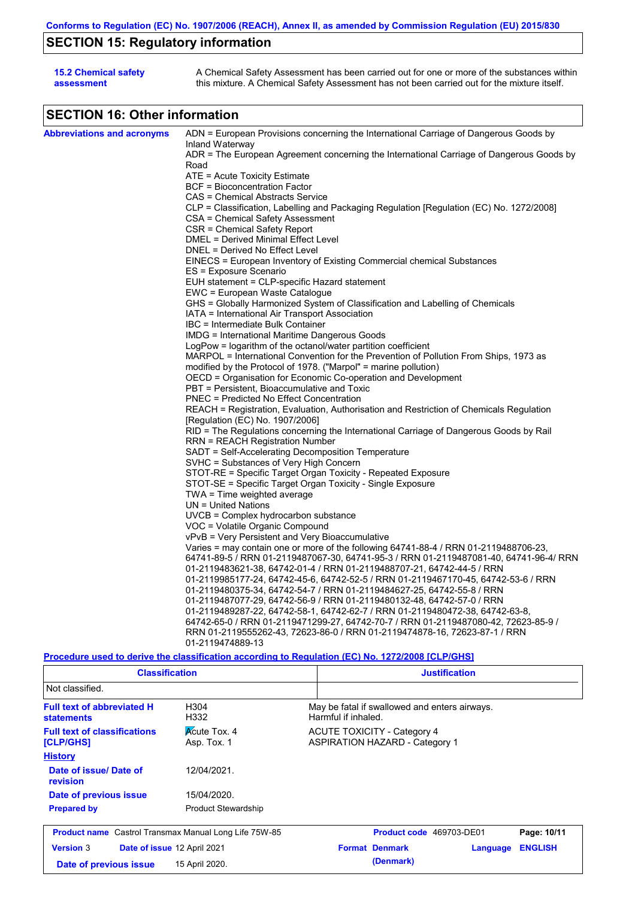# **SECTION 15: Regulatory information**

| <b>15.2 Chemical safety</b> | A Chemical Safety Assessment has been carried out for one or more of the substances within  |
|-----------------------------|---------------------------------------------------------------------------------------------|
| assessment                  | this mixture. A Chemical Safety Assessment has not been carried out for the mixture itself. |

# **SECTION 16: Other information**

| <b>Abbreviations and acronyms</b> | ADN = European Provisions concerning the International Carriage of Dangerous Goods by    |
|-----------------------------------|------------------------------------------------------------------------------------------|
|                                   | Inland Waterway                                                                          |
|                                   | ADR = The European Agreement concerning the International Carriage of Dangerous Goods by |
|                                   | Road                                                                                     |
|                                   | ATE = Acute Toxicity Estimate                                                            |
|                                   | BCF = Bioconcentration Factor                                                            |
|                                   | CAS = Chemical Abstracts Service                                                         |
|                                   | CLP = Classification, Labelling and Packaging Regulation [Regulation (EC) No. 1272/2008] |
|                                   | CSA = Chemical Safety Assessment                                                         |
|                                   | CSR = Chemical Safety Report                                                             |
|                                   | DMEL = Derived Minimal Effect Level                                                      |
|                                   | DNEL = Derived No Effect Level                                                           |
|                                   | EINECS = European Inventory of Existing Commercial chemical Substances                   |
|                                   | ES = Exposure Scenario                                                                   |
|                                   | EUH statement = CLP-specific Hazard statement                                            |
|                                   | EWC = European Waste Catalogue                                                           |
|                                   | GHS = Globally Harmonized System of Classification and Labelling of Chemicals            |
|                                   | IATA = International Air Transport Association                                           |
|                                   | IBC = Intermediate Bulk Container                                                        |
|                                   | IMDG = International Maritime Dangerous Goods                                            |
|                                   | LogPow = logarithm of the octanol/water partition coefficient                            |
|                                   | MARPOL = International Convention for the Prevention of Pollution From Ships, 1973 as    |
|                                   | modified by the Protocol of 1978. ("Marpol" = marine pollution)                          |
|                                   | OECD = Organisation for Economic Co-operation and Development                            |
|                                   | PBT = Persistent, Bioaccumulative and Toxic                                              |
|                                   | PNEC = Predicted No Effect Concentration                                                 |
|                                   | REACH = Registration, Evaluation, Authorisation and Restriction of Chemicals Regulation  |
|                                   | [Regulation (EC) No. 1907/2006]                                                          |
|                                   | RID = The Regulations concerning the International Carriage of Dangerous Goods by Rail   |
|                                   | RRN = REACH Registration Number                                                          |
|                                   | SADT = Self-Accelerating Decomposition Temperature                                       |
|                                   | SVHC = Substances of Very High Concern                                                   |
|                                   | STOT-RE = Specific Target Organ Toxicity - Repeated Exposure                             |
|                                   | STOT-SE = Specific Target Organ Toxicity - Single Exposure                               |
|                                   | TWA = Time weighted average                                                              |
|                                   | $UN = United Nations$                                                                    |
|                                   | $UVCB = Complex\ hydrocarbon\ substance$                                                 |
|                                   | VOC = Volatile Organic Compound                                                          |
|                                   | vPvB = Very Persistent and Very Bioaccumulative                                          |
|                                   | Varies = may contain one or more of the following $64741-88-4$ / RRN 01-2119488706-23,   |
|                                   | 64741-89-5 / RRN 01-2119487067-30, 64741-95-3 / RRN 01-2119487081-40, 64741-96-4/ RRN    |
|                                   | 01-2119483621-38, 64742-01-4 / RRN 01-2119488707-21, 64742-44-5 / RRN                    |
|                                   |                                                                                          |
|                                   | 01-2119985177-24, 64742-45-6, 64742-52-5 / RRN 01-2119467170-45, 64742-53-6 / RRN        |
|                                   | 01-2119480375-34, 64742-54-7 / RRN 01-2119484627-25, 64742-55-8 / RRN                    |
|                                   | 01-2119487077-29, 64742-56-9 / RRN 01-2119480132-48, 64742-57-0 / RRN                    |
|                                   | 01-2119489287-22, 64742-58-1, 64742-62-7 / RRN 01-2119480472-38, 64742-63-8,             |
|                                   | 64742-65-0 / RRN 01-2119471299-27, 64742-70-7 / RRN 01-2119487080-42, 72623-85-9 /       |
|                                   | RRN 01-2119555262-43, 72623-86-0 / RRN 01-2119474878-16, 72623-87-1 / RRN                |
|                                   | 01-2119474889-13                                                                         |
|                                   |                                                                                          |

**Procedure used to derive the classification according to Regulation (EC) No. 1272/2008 [CLP/GHS]**

| <b>Classification</b>                                                                  |                             | <b>Justification</b>                                                        |  |  |  |  |
|----------------------------------------------------------------------------------------|-----------------------------|-----------------------------------------------------------------------------|--|--|--|--|
| Not classified.                                                                        |                             |                                                                             |  |  |  |  |
| <b>Full text of abbreviated H</b><br>H304<br>H332<br><b>statements</b>                 |                             | May be fatal if swallowed and enters airways.<br>Harmful if inhaled.        |  |  |  |  |
| <b>Acute Tox. 4</b><br><b>Full text of classifications</b><br>Asp. Tox. 1<br>[CLP/GHS] |                             | <b>ACUTE TOXICITY - Category 4</b><br><b>ASPIRATION HAZARD - Category 1</b> |  |  |  |  |
| <b>History</b>                                                                         |                             |                                                                             |  |  |  |  |
| Date of issue/Date of<br><b>revision</b>                                               | 12/04/2021.                 |                                                                             |  |  |  |  |
| Date of previous issue                                                                 | 15/04/2020.                 |                                                                             |  |  |  |  |
| <b>Prepared by</b>                                                                     | <b>Product Stewardship</b>  |                                                                             |  |  |  |  |
| <b>Product name</b> Castrol Transmax Manual Long Life 75W-85                           |                             | Product code 469703-DE01<br>Page: 10/11                                     |  |  |  |  |
| <b>Version 3</b>                                                                       | Date of issue 12 April 2021 | <b>Format Denmark</b><br><b>ENGLISH</b><br>Language                         |  |  |  |  |
| Date of previous issue                                                                 | 15 April 2020.              | (Denmark)                                                                   |  |  |  |  |